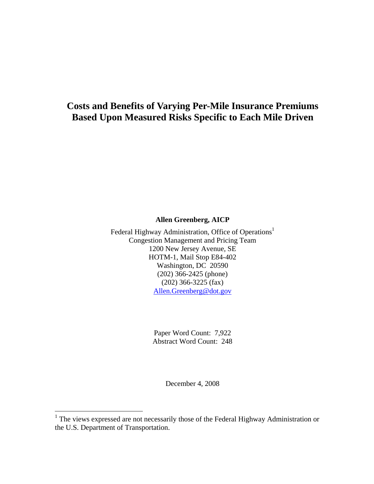# **Costs and Benefits of Varying Per-Mile Insurance Premiums Based Upon Measured Risks Specific to Each Mile Driven**

**Allen Greenberg, AICP** 

Federal Highway Administration, Office of Operations<sup>1</sup> Congestion Management and Pricing Team 1200 New Jersey Avenue, SE HOTM-1, Mail Stop E84-402 Washington, DC 20590 (202) 366-2425 (phone) (202) 366-3225 (fax) Allen.Greenberg@dot.gov

> Paper Word Count: 7,922 Abstract Word Count: 248

> > December 4, 2008

<sup>&</sup>lt;sup>1</sup> The views expressed are not necessarily those of the Federal Highway Administration or the U.S. Department of Transportation.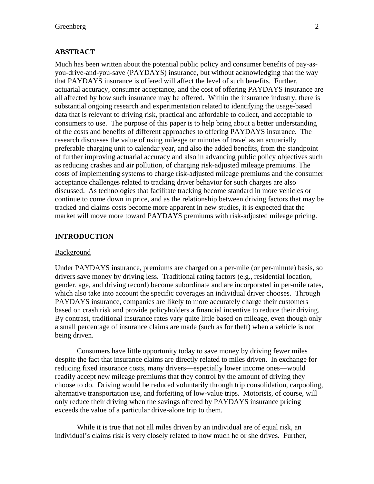# **ABSTRACT**

Much has been written about the potential public policy and consumer benefits of pay-asyou-drive-and-you-save (PAYDAYS) insurance, but without acknowledging that the way that PAYDAYS insurance is offered will affect the level of such benefits. Further, actuarial accuracy, consumer acceptance, and the cost of offering PAYDAYS insurance are all affected by how such insurance may be offered. Within the insurance industry, there is substantial ongoing research and experimentation related to identifying the usage-based data that is relevant to driving risk, practical and affordable to collect, and acceptable to consumers to use. The purpose of this paper is to help bring about a better understanding of the costs and benefits of different approaches to offering PAYDAYS insurance. The research discusses the value of using mileage or minutes of travel as an actuarially preferable charging unit to calendar year, and also the added benefits, from the standpoint of further improving actuarial accuracy and also in advancing public policy objectives such as reducing crashes and air pollution, of charging risk-adjusted mileage premiums. The costs of implementing systems to charge risk-adjusted mileage premiums and the consumer acceptance challenges related to tracking driver behavior for such charges are also discussed. As technologies that facilitate tracking become standard in more vehicles or continue to come down in price, and as the relationship between driving factors that may be tracked and claims costs become more apparent in new studies, it is expected that the market will move more toward PAYDAYS premiums with risk-adjusted mileage pricing.

# **INTRODUCTION**

#### Background

Under PAYDAYS insurance, premiums are charged on a per-mile (or per-minute) basis, so drivers save money by driving less. Traditional rating factors (e.g., residential location, gender, age, and driving record) become subordinate and are incorporated in per-mile rates, which also take into account the specific coverages an individual driver chooses. Through PAYDAYS insurance, companies are likely to more accurately charge their customers based on crash risk and provide policyholders a financial incentive to reduce their driving. By contrast, traditional insurance rates vary quite little based on mileage, even though only a small percentage of insurance claims are made (such as for theft) when a vehicle is not being driven.

Consumers have little opportunity today to save money by driving fewer miles despite the fact that insurance claims are directly related to miles driven. In exchange for reducing fixed insurance costs, many drivers—especially lower income ones—would readily accept new mileage premiums that they control by the amount of driving they choose to do. Driving would be reduced voluntarily through trip consolidation, carpooling, alternative transportation use, and forfeiting of low-value trips. Motorists, of course, will only reduce their driving when the savings offered by PAYDAYS insurance pricing exceeds the value of a particular drive-alone trip to them.

While it is true that not all miles driven by an individual are of equal risk, an individual's claims risk is very closely related to how much he or she drives. Further,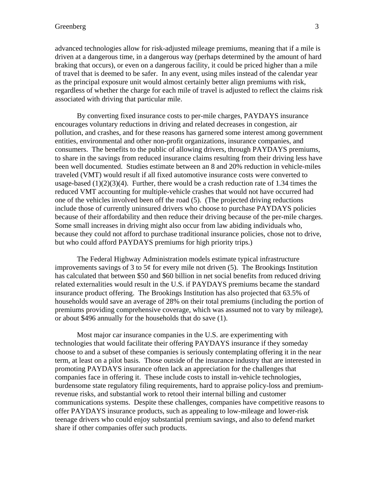advanced technologies allow for risk-adjusted mileage premiums, meaning that if a mile is driven at a dangerous time, in a dangerous way (perhaps determined by the amount of hard braking that occurs), or even on a dangerous facility, it could be priced higher than a mile of travel that is deemed to be safer. In any event, using miles instead of the calendar year as the principal exposure unit would almost certainly better align premiums with risk, regardless of whether the charge for each mile of travel is adjusted to reflect the claims risk associated with driving that particular mile.

By converting fixed insurance costs to per-mile charges, PAYDAYS insurance encourages voluntary reductions in driving and related decreases in congestion, air pollution, and crashes, and for these reasons has garnered some interest among government entities, environmental and other non-profit organizations, insurance companies, and consumers. The benefits to the public of allowing drivers, through PAYDAYS premiums, to share in the savings from reduced insurance claims resulting from their driving less have been well documented. Studies estimate between an 8 and 20% reduction in vehicle-miles traveled (VMT) would result if all fixed automotive insurance costs were converted to usage-based  $(1)(2)(3)(4)$ . Further, there would be a crash reduction rate of 1.34 times the reduced VMT accounting for multiple-vehicle crashes that would not have occurred had one of the vehicles involved been off the road (5). (The projected driving reductions include those of currently uninsured drivers who choose to purchase PAYDAYS policies because of their affordability and then reduce their driving because of the per-mile charges. Some small increases in driving might also occur from law abiding individuals who, because they could not afford to purchase traditional insurance policies, chose not to drive, but who could afford PAYDAYS premiums for high priority trips.)

The Federal Highway Administration models estimate typical infrastructure improvements savings of 3 to  $5¢$  for every mile not driven (5). The Brookings Institution has calculated that between \$50 and \$60 billion in net social benefits from reduced driving related externalities would result in the U.S. if PAYDAYS premiums became the standard insurance product offering. The Brookings Institution has also projected that 63.5% of households would save an average of 28% on their total premiums (including the portion of premiums providing comprehensive coverage, which was assumed not to vary by mileage), or about \$496 annually for the households that do save (1).

Most major car insurance companies in the U.S. are experimenting with technologies that would facilitate their offering PAYDAYS insurance if they someday choose to and a subset of these companies is seriously contemplating offering it in the near term, at least on a pilot basis. Those outside of the insurance industry that are interested in promoting PAYDAYS insurance often lack an appreciation for the challenges that companies face in offering it. These include costs to install in-vehicle technologies, burdensome state regulatory filing requirements, hard to appraise policy-loss and premiumrevenue risks, and substantial work to retool their internal billing and customer communications systems. Despite these challenges, companies have competitive reasons to offer PAYDAYS insurance products, such as appealing to low-mileage and lower-risk teenage drivers who could enjoy substantial premium savings, and also to defend market share if other companies offer such products.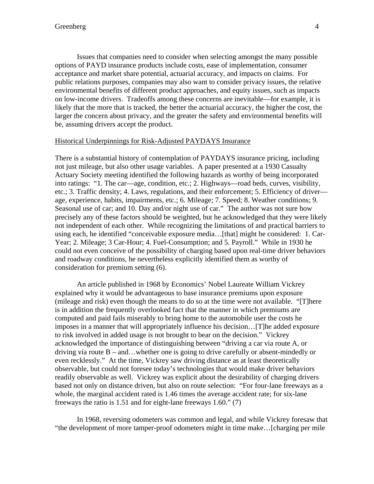Issues that companies need to consider when selecting amongst the many possible options of PAYD insurance products include costs, ease of implementation, consumer acceptance and market share potential, actuarial accuracy, and impacts on claims. For public relations purposes, companies may also want to consider privacy issues, the relative environmental benefits of different product approaches, and equity issues, such as impacts on low-income drivers. Tradeoffs among these concerns are inevitable—for example, it is likely that the more that is tracked, the better the actuarial accuracy, the higher the cost, the larger the concern about privacy, and the greater the safety and environmental benefits will be, assuming drivers accept the product.

# Historical Underpinnings for Risk-Adjusted PAYDAYS Insurance

There is a substantial history of contemplation of PAYDAYS insurance pricing, including not just mileage, but also other usage variables. A paper presented at a 1930 Casualty Actuary Society meeting identified the following hazards as worthy of being incorporated into ratings: "1. The car—age, condition, etc.; 2. Highways—road beds, curves, visibility, etc.; 3. Traffic density; 4. Laws, regulations, and their enforcement; 5. Efficiency of driver age, experience, habits, impairments, etc.; 6. Mileage; 7. Speed; 8. Weather conditions; 9. Seasonal use of car; and 10. Day and/or night use of car." The author was not sure how precisely any of these factors should be weighted, but he acknowledged that they were likely not independent of each other. While recognizing the limitations of and practical barriers to using each, he identified "conceivable exposure media…[that] might be considered: 1. Car-Year; 2. Mileage; 3 Car-Hour; 4. Fuel-Consumption; and 5. Payroll." While in 1930 he could not even conceive of the possibility of charging based upon real-time driver behaviors and roadway conditions, he nevertheless explicitly identified them as worthy of consideration for premium setting (6).

An article published in 1968 by Economics' Nobel Laureate William Vickrey explained why it would be advantageous to base insurance premiums upon exposure (mileage and risk) even though the means to do so at the time were not available. "[T]here is in addition the frequently overlooked fact that the manner in which premiums are computed and paid fails miserably to bring home to the automobile user the costs he imposes in a manner that will appropriately influence his decision…[T]he added exposure to risk involved in added usage is not brought to bear on the decision." Vickrey acknowledged the importance of distinguishing between "driving a car via route A, or driving via route  $B - and$ ...whether one is going to drive carefully or absent-mindedly or even recklessly." At the time, Vickrey saw driving distance as at least theoretically observable, but could not foresee today's technologies that would make driver behaviors readily observable as well. Vickrey was explicit about the desirability of charging drivers based not only on distance driven, but also on route selection: "For four-lane freeways as a whole, the marginal accident rated is 1.46 times the average accident rate; for six-lane freeways the ratio is 1.51 and for eight-lane freeways 1.60." (7)

 In 1968, reversing odometers was common and legal, and while Vickrey foresaw that "the development of more tamper-proof odometers might in time make…[charging per mile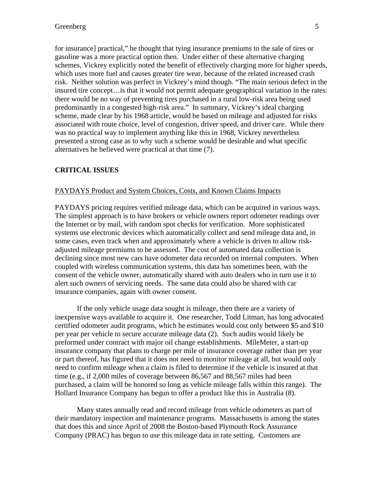for insurance] practical," he thought that tying insurance premiums to the sale of tires or gasoline was a more practical option then. Under either of these alternative charging schemes, Vickrey explicitly noted the benefit of effectively charging more for higher speeds, which uses more fuel and causes greater tire wear, because of the related increased crash risk. Neither solution was perfect in Vickrey's mind though. "The main serious defect in the insured tire concept…is that it would not permit adequate geographical variation in the rates: there would be no way of preventing tires purchased in a rural low-risk area being used predominantly in a congested high-risk area." In summary, Vickrey's ideal charging scheme, made clear by his 1968 article, would be based on mileage and adjusted for risks associated with route choice, level of congestion, driver speed, and driver care. While there was no practical way to implement anything like this in 1968, Vickrey nevertheless presented a strong case as to why such a scheme would be desirable and what specific alternatives he believed were practical at that time (7).

# **CRITICAL ISSUES**

# PAYDAYS Product and System Choices, Costs, and Known Claims Impacts

PAYDAYS pricing requires verified mileage data, which can be acquired in various ways. The simplest approach is to have brokers or vehicle owners report odometer readings over the Internet or by mail, with random spot checks for verification. More sophisticated systems use electronic devices which automatically collect and send mileage data and, in some cases, even track when and approximately where a vehicle is driven to allow riskadjusted mileage premiums to be assessed. The cost of automated data collection is declining since most new cars have odometer data recorded on internal computers. When coupled with wireless communication systems, this data has sometimes been, with the consent of the vehicle owner, automatically shared with auto dealers who in turn use it to alert such owners of servicing needs. The same data could also be shared with car insurance companies, again with owner consent.

If the only vehicle usage data sought is mileage, then there are a variety of inexpensive ways available to acquire it. One researcher, Todd Litman, has long advocated certified odometer audit programs, which he estimates would cost only between \$5 and \$10 per year per vehicle to secure accurate mileage data (2). Such audits would likely be preformed under contract with major oil change establishments. MileMeter, a start-up insurance company that plans to charge per mile of insurance coverage rather than per year or part thereof, has figured that it does not need to monitor mileage at all, but would only need to confirm mileage when a claim is filed to determine if the vehicle is insured at that time (e.g., if 2,000 miles of coverage between 86,567 and 88,567 miles had been purchased, a claim will be honored so long as vehicle mileage falls within this range). The Hollard Insurance Company has begun to offer a product like this in Australia (8).

Many states annually read and record mileage from vehicle odometers as part of their mandatory inspection and maintenance programs. Massachusetts is among the states that does this and since April of 2008 the Boston-based Plymouth Rock Assurance Company (PRAC) has begun to use this mileage data in rate setting. Customers are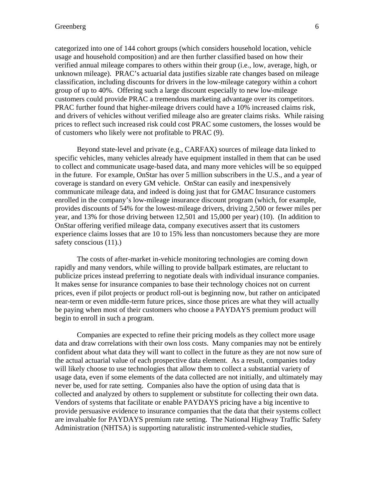categorized into one of 144 cohort groups (which considers household location, vehicle usage and household composition) and are then further classified based on how their verified annual mileage compares to others within their group (i.e., low, average, high, or unknown mileage). PRAC's actuarial data justifies sizable rate changes based on mileage classification, including discounts for drivers in the low-mileage category within a cohort group of up to 40%. Offering such a large discount especially to new low-mileage customers could provide PRAC a tremendous marketing advantage over its competitors. PRAC further found that higher-mileage drivers could have a 10% increased claims risk, and drivers of vehicles without verified mileage also are greater claims risks. While raising prices to reflect such increased risk could cost PRAC some customers, the losses would be of customers who likely were not profitable to PRAC (9).

 Beyond state-level and private (e.g., CARFAX) sources of mileage data linked to specific vehicles, many vehicles already have equipment installed in them that can be used to collect and communicate usage-based data, and many more vehicles will be so equipped in the future. For example, OnStar has over 5 million subscribers in the U.S., and a year of coverage is standard on every GM vehicle. OnStar can easily and inexpensively communicate mileage data, and indeed is doing just that for GMAC Insurance customers enrolled in the company's low-mileage insurance discount program (which, for example, provides discounts of 54% for the lowest-mileage drivers, driving 2,500 or fewer miles per year, and 13% for those driving between 12,501 and 15,000 per year) (10). (In addition to OnStar offering verified mileage data, company executives assert that its customers experience claims losses that are 10 to 15% less than noncustomers because they are more safety conscious (11).)

 The costs of after-market in-vehicle monitoring technologies are coming down rapidly and many vendors, while willing to provide ballpark estimates, are reluctant to publicize prices instead preferring to negotiate deals with individual insurance companies. It makes sense for insurance companies to base their technology choices not on current prices, even if pilot projects or product roll-out is beginning now, but rather on anticipated near-term or even middle-term future prices, since those prices are what they will actually be paying when most of their customers who choose a PAYDAYS premium product will begin to enroll in such a program.

 Companies are expected to refine their pricing models as they collect more usage data and draw correlations with their own loss costs. Many companies may not be entirely confident about what data they will want to collect in the future as they are not now sure of the actual actuarial value of each prospective data element. As a result, companies today will likely choose to use technologies that allow them to collect a substantial variety of usage data, even if some elements of the data collected are not initially, and ultimately may never be, used for rate setting. Companies also have the option of using data that is collected and analyzed by others to supplement or substitute for collecting their own data. Vendors of systems that facilitate or enable PAYDAYS pricing have a big incentive to provide persuasive evidence to insurance companies that the data that their systems collect are invaluable for PAYDAYS premium rate setting. The National Highway Traffic Safety Administration (NHTSA) is supporting naturalistic instrumented-vehicle studies,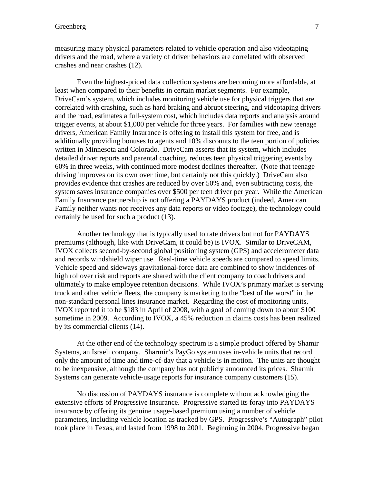measuring many physical parameters related to vehicle operation and also videotaping drivers and the road, where a variety of driver behaviors are correlated with observed crashes and near crashes (12).

 Even the highest-priced data collection systems are becoming more affordable, at least when compared to their benefits in certain market segments. For example, DriveCam's system, which includes monitoring vehicle use for physical triggers that are correlated with crashing, such as hard braking and abrupt steering, and videotaping drivers and the road, estimates a full-system cost, which includes data reports and analysis around trigger events, at about \$1,000 per vehicle for three years. For families with new teenage drivers, American Family Insurance is offering to install this system for free, and is additionally providing bonuses to agents and 10% discounts to the teen portion of policies written in Minnesota and Colorado. DriveCam asserts that its system, which includes detailed driver reports and parental coaching, reduces teen physical triggering events by 60% in three weeks, with continued more modest declines thereafter. (Note that teenage driving improves on its own over time, but certainly not this quickly.) DriveCam also provides evidence that crashes are reduced by over 50% and, even subtracting costs, the system saves insurance companies over \$500 per teen driver per year. While the American Family Insurance partnership is not offering a PAYDAYS product (indeed, American Family neither wants nor receives any data reports or video footage), the technology could certainly be used for such a product (13).

 Another technology that is typically used to rate drivers but not for PAYDAYS premiums (although, like with DriveCam, it could be) is IVOX. Similar to DriveCAM, IVOX collects second-by-second global positioning system (GPS) and accelerometer data and records windshield wiper use. Real-time vehicle speeds are compared to speed limits. Vehicle speed and sideways gravitational-force data are combined to show incidences of high rollover risk and reports are shared with the client company to coach drivers and ultimately to make employee retention decisions. While IVOX's primary market is serving truck and other vehicle fleets, the company is marketing to the "best of the worst" in the non-standard personal lines insurance market. Regarding the cost of monitoring units, IVOX reported it to be \$183 in April of 2008, with a goal of coming down to about \$100 sometime in 2009. According to IVOX, a 45% reduction in claims costs has been realized by its commercial clients (14).

 At the other end of the technology spectrum is a simple product offered by Shamir Systems, an Israeli company. Sharmir's PayGo system uses in-vehicle units that record only the amount of time and time-of-day that a vehicle is in motion. The units are thought to be inexpensive, although the company has not publicly announced its prices. Sharmir Systems can generate vehicle-usage reports for insurance company customers (15).

 No discussion of PAYDAYS insurance is complete without acknowledging the extensive efforts of Progressive Insurance. Progressive started its foray into PAYDAYS insurance by offering its genuine usage-based premium using a number of vehicle parameters, including vehicle location as tracked by GPS. Progressive's "Autograph" pilot took place in Texas, and lasted from 1998 to 2001. Beginning in 2004, Progressive began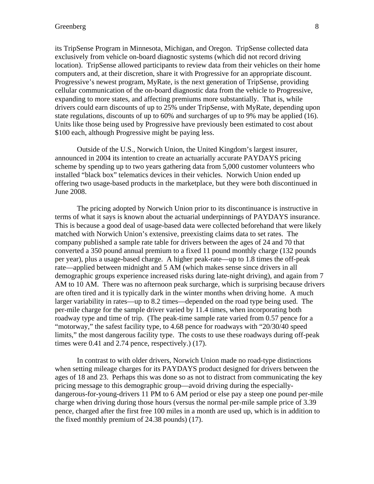# Greenberg 8

its TripSense Program in Minnesota, Michigan, and Oregon. TripSense collected data exclusively from vehicle on-board diagnostic systems (which did not record driving location). TripSense allowed participants to review data from their vehicles on their home computers and, at their discretion, share it with Progressive for an appropriate discount. Progressive's newest program, MyRate, is the next generation of TripSense, providing cellular communication of the on-board diagnostic data from the vehicle to Progressive, expanding to more states, and affecting premiums more substantially. That is, while drivers could earn discounts of up to 25% under TripSense, with MyRate, depending upon state regulations, discounts of up to 60% and surcharges of up to 9% may be applied (16). Units like those being used by Progressive have previously been estimated to cost about \$100 each, although Progressive might be paying less.

Outside of the U.S., Norwich Union, the United Kingdom's largest insurer, announced in 2004 its intention to create an actuarially accurate PAYDAYS pricing scheme by spending up to two years gathering data from 5,000 customer volunteers who installed "black box" telematics devices in their vehicles. Norwich Union ended up offering two usage-based products in the marketplace, but they were both discontinued in June 2008.

 The pricing adopted by Norwich Union prior to its discontinuance is instructive in terms of what it says is known about the actuarial underpinnings of PAYDAYS insurance. This is because a good deal of usage-based data were collected beforehand that were likely matched with Norwich Union's extensive, preexisting claims data to set rates. The company published a sample rate table for drivers between the ages of 24 and 70 that converted a 350 pound annual premium to a fixed 11 pound monthly charge (132 pounds per year), plus a usage-based charge. A higher peak-rate—up to 1.8 times the off-peak rate—applied between midnight and 5 AM (which makes sense since drivers in all demographic groups experience increased risks during late-night driving), and again from 7 AM to 10 AM. There was no afternoon peak surcharge, which is surprising because drivers are often tired and it is typically dark in the winter months when driving home. A much larger variability in rates—up to 8.2 times—depended on the road type being used. The per-mile charge for the sample driver varied by 11.4 times, when incorporating both roadway type and time of trip. (The peak-time sample rate varied from 0.57 pence for a "motorway," the safest facility type, to 4.68 pence for roadways with "20/30/40 speed limits," the most dangerous facility type. The costs to use these roadways during off-peak times were 0.41 and 2.74 pence, respectively.) (17).

 In contrast to with older drivers, Norwich Union made no road-type distinctions when setting mileage charges for its PAYDAYS product designed for drivers between the ages of 18 and 23. Perhaps this was done so as not to distract from communicating the key pricing message to this demographic group—avoid driving during the especiallydangerous-for-young-drivers 11 PM to 6 AM period or else pay a steep one pound per-mile charge when driving during those hours (versus the normal per-mile sample price of 3.39 pence, charged after the first free 100 miles in a month are used up, which is in addition to the fixed monthly premium of 24.38 pounds) (17).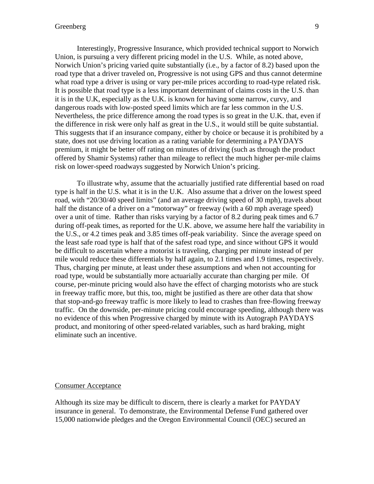## Greenberg 9

 Interestingly, Progressive Insurance, which provided technical support to Norwich Union, is pursuing a very different pricing model in the U.S. While, as noted above, Norwich Union's pricing varied quite substantially (i.e., by a factor of 8.2) based upon the road type that a driver traveled on, Progressive is not using GPS and thus cannot determine what road type a driver is using or vary per-mile prices according to road-type related risk. It is possible that road type is a less important determinant of claims costs in the U.S. than it is in the U.K, especially as the U.K. is known for having some narrow, curvy, and dangerous roads with low-posted speed limits which are far less common in the U.S. Nevertheless, the price difference among the road types is so great in the U.K. that, even if the difference in risk were only half as great in the U.S., it would still be quite substantial. This suggests that if an insurance company, either by choice or because it is prohibited by a state, does not use driving location as a rating variable for determining a PAYDAYS premium, it might be better off rating on minutes of driving (such as through the product offered by Shamir Systems) rather than mileage to reflect the much higher per-mile claims risk on lower-speed roadways suggested by Norwich Union's pricing.

To illustrate why, assume that the actuarially justified rate differential based on road type is half in the U.S. what it is in the U.K. Also assume that a driver on the lowest speed road, with "20/30/40 speed limits" (and an average driving speed of 30 mph), travels about half the distance of a driver on a "motorway" or freeway (with a 60 mph average speed) over a unit of time. Rather than risks varying by a factor of 8.2 during peak times and 6.7 during off-peak times, as reported for the U.K. above, we assume here half the variability in the U.S., or 4.2 times peak and 3.85 times off-peak variability. Since the average speed on the least safe road type is half that of the safest road type, and since without GPS it would be difficult to ascertain where a motorist is traveling, charging per minute instead of per mile would reduce these differentials by half again, to 2.1 times and 1.9 times, respectively. Thus, charging per minute, at least under these assumptions and when not accounting for road type, would be substantially more actuarially accurate than charging per mile. Of course, per-minute pricing would also have the effect of charging motorists who are stuck in freeway traffic more, but this, too, might be justified as there are other data that show that stop-and-go freeway traffic is more likely to lead to crashes than free-flowing freeway traffic. On the downside, per-minute pricing could encourage speeding, although there was no evidence of this when Progressive charged by minute with its Autograph PAYDAYS product, and monitoring of other speed-related variables, such as hard braking, might eliminate such an incentive.

#### Consumer Acceptance

Although its size may be difficult to discern, there is clearly a market for PAYDAY insurance in general. To demonstrate, the Environmental Defense Fund gathered over 15,000 nationwide pledges and the Oregon Environmental Council (OEC) secured an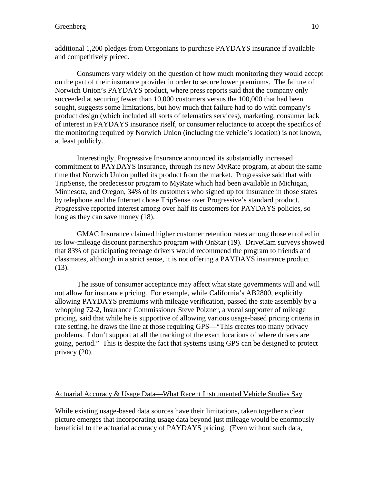additional 1,200 pledges from Oregonians to purchase PAYDAYS insurance if available and competitively priced.

Consumers vary widely on the question of how much monitoring they would accept on the part of their insurance provider in order to secure lower premiums. The failure of Norwich Union's PAYDAYS product, where press reports said that the company only succeeded at securing fewer than 10,000 customers versus the 100,000 that had been sought, suggests some limitations, but how much that failure had to do with company's product design (which included all sorts of telematics services), marketing, consumer lack of interest in PAYDAYS insurance itself, or consumer reluctance to accept the specifics of the monitoring required by Norwich Union (including the vehicle's location) is not known, at least publicly.

Interestingly, Progressive Insurance announced its substantially increased commitment to PAYDAYS insurance, through its new MyRate program, at about the same time that Norwich Union pulled its product from the market. Progressive said that with TripSense, the predecessor program to MyRate which had been available in Michigan, Minnesota, and Oregon, 34% of its customers who signed up for insurance in those states by telephone and the Internet chose TripSense over Progressive's standard product. Progressive reported interest among over half its customers for PAYDAYS policies, so long as they can save money (18).

 GMAC Insurance claimed higher customer retention rates among those enrolled in its low-mileage discount partnership program with OnStar (19). DriveCam surveys showed that 83% of participating teenage drivers would recommend the program to friends and classmates, although in a strict sense, it is not offering a PAYDAYS insurance product (13).

 The issue of consumer acceptance may affect what state governments will and will not allow for insurance pricing. For example, while California's AB2800, explicitly allowing PAYDAYS premiums with mileage verification, passed the state assembly by a whopping 72-2, Insurance Commissioner Steve Poizner, a vocal supporter of mileage pricing, said that while he is supportive of allowing various usage-based pricing criteria in rate setting, he draws the line at those requiring GPS—"This creates too many privacy problems. I don't support at all the tracking of the exact locations of where drivers are going, period." This is despite the fact that systems using GPS can be designed to protect privacy (20).

#### Actuarial Accuracy & Usage Data—What Recent Instrumented Vehicle Studies Say

While existing usage-based data sources have their limitations, taken together a clear picture emerges that incorporating usage data beyond just mileage would be enormously beneficial to the actuarial accuracy of PAYDAYS pricing. (Even without such data,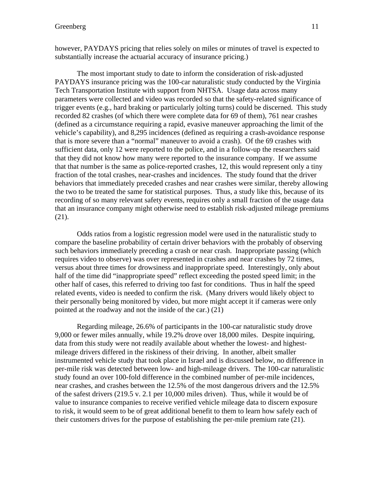The most important study to date to inform the consideration of risk-adjusted PAYDAYS insurance pricing was the 100-car naturalistic study conducted by the Virginia Tech Transportation Institute with support from NHTSA. Usage data across many parameters were collected and video was recorded so that the safety-related significance of trigger events (e.g., hard braking or particularly jolting turns) could be discerned. This study recorded 82 crashes (of which there were complete data for 69 of them), 761 near crashes (defined as a circumstance requiring a rapid, evasive maneuver approaching the limit of the vehicle's capability), and 8,295 incidences (defined as requiring a crash-avoidance response that is more severe than a "normal" maneuver to avoid a crash). Of the 69 crashes with sufficient data, only 12 were reported to the police, and in a follow-up the researchers said that they did not know how many were reported to the insurance company. If we assume that that number is the same as police-reported crashes, 12, this would represent only a tiny fraction of the total crashes, near-crashes and incidences. The study found that the driver behaviors that immediately preceded crashes and near crashes were similar, thereby allowing the two to be treated the same for statistical purposes. Thus, a study like this, because of its recording of so many relevant safety events, requires only a small fraction of the usage data that an insurance company might otherwise need to establish risk-adjusted mileage premiums (21).

 Odds ratios from a logistic regression model were used in the naturalistic study to compare the baseline probability of certain driver behaviors with the probably of observing such behaviors immediately preceding a crash or near crash. Inappropriate passing (which requires video to observe) was over represented in crashes and near crashes by 72 times, versus about three times for drowsiness and inappropriate speed. Interestingly, only about half of the time did "inappropriate speed" reflect exceeding the posted speed limit; in the other half of cases, this referred to driving too fast for conditions. Thus in half the speed related events, video is needed to confirm the risk. (Many drivers would likely object to their personally being monitored by video, but more might accept it if cameras were only pointed at the roadway and not the inside of the car.) (21)

 Regarding mileage, 26.6% of participants in the 100-car naturalistic study drove 9,000 or fewer miles annually, while 19.2% drove over 18,000 miles. Despite inquiring, data from this study were not readily available about whether the lowest- and highestmileage drivers differed in the riskiness of their driving. In another, albeit smaller instrumented vehicle study that took place in Israel and is discussed below, no difference in per-mile risk was detected between low- and high-mileage drivers. The 100-car naturalistic study found an over 100-fold difference in the combined number of per-mile incidences, near crashes, and crashes between the 12.5% of the most dangerous drivers and the 12.5% of the safest drivers (219.5 v. 2.1 per 10,000 miles driven). Thus, while it would be of value to insurance companies to receive verified vehicle mileage data to discern exposure to risk, it would seem to be of great additional benefit to them to learn how safely each of their customers drives for the purpose of establishing the per-mile premium rate (21).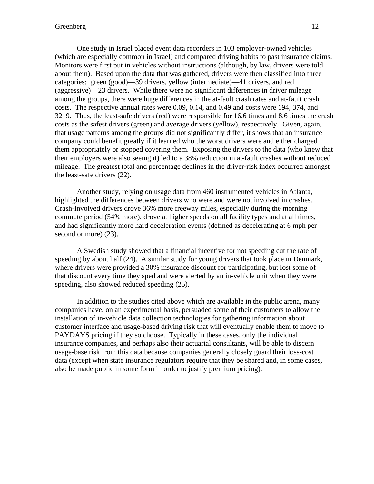# Greenberg 12

One study in Israel placed event data recorders in 103 employer-owned vehicles (which are especially common in Israel) and compared driving habits to past insurance claims. Monitors were first put in vehicles without instructions (although, by law, drivers were told about them). Based upon the data that was gathered, drivers were then classified into three categories: green (good)—39 drivers, yellow (intermediate)—41 drivers, and red (aggressive)—23 drivers. While there were no significant differences in driver mileage among the groups, there were huge differences in the at-fault crash rates and at-fault crash costs. The respective annual rates were 0.09, 0.14, and 0.49 and costs were 194, 374, and 3219. Thus, the least-safe drivers (red) were responsible for 16.6 times and 8.6 times the crash costs as the safest drivers (green) and average drivers (yellow), respectively. Given, again, that usage patterns among the groups did not significantly differ, it shows that an insurance company could benefit greatly if it learned who the worst drivers were and either charged them appropriately or stopped covering them. Exposing the drivers to the data (who knew that their employers were also seeing it) led to a 38% reduction in at-fault crashes without reduced mileage. The greatest total and percentage declines in the driver-risk index occurred amongst the least-safe drivers (22).

Another study, relying on usage data from 460 instrumented vehicles in Atlanta, highlighted the differences between drivers who were and were not involved in crashes. Crash-involved drivers drove 36% more freeway miles, especially during the morning commute period (54% more), drove at higher speeds on all facility types and at all times, and had significantly more hard deceleration events (defined as decelerating at 6 mph per second or more) (23).

A Swedish study showed that a financial incentive for not speeding cut the rate of speeding by about half (24). A similar study for young drivers that took place in Denmark, where drivers were provided a 30% insurance discount for participating, but lost some of that discount every time they sped and were alerted by an in-vehicle unit when they were speeding, also showed reduced speeding (25).

In addition to the studies cited above which are available in the public arena, many companies have, on an experimental basis, persuaded some of their customers to allow the installation of in-vehicle data collection technologies for gathering information about customer interface and usage-based driving risk that will eventually enable them to move to PAYDAYS pricing if they so choose. Typically in these cases, only the individual insurance companies, and perhaps also their actuarial consultants, will be able to discern usage-base risk from this data because companies generally closely guard their loss-cost data (except when state insurance regulators require that they be shared and, in some cases, also be made public in some form in order to justify premium pricing).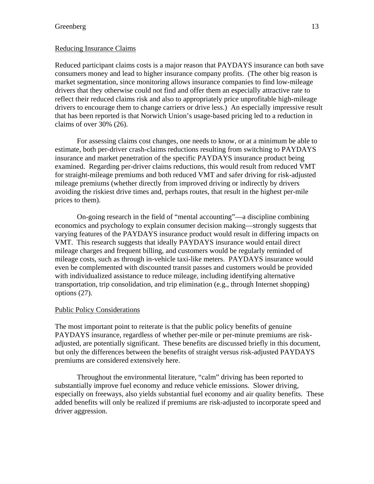## Reducing Insurance Claims

Reduced participant claims costs is a major reason that PAYDAYS insurance can both save consumers money and lead to higher insurance company profits. (The other big reason is market segmentation, since monitoring allows insurance companies to find low-mileage drivers that they otherwise could not find and offer them an especially attractive rate to reflect their reduced claims risk and also to appropriately price unprofitable high-mileage drivers to encourage them to change carriers or drive less.) An especially impressive result that has been reported is that Norwich Union's usage-based pricing led to a reduction in claims of over 30% (26).

For assessing claims cost changes, one needs to know, or at a minimum be able to estimate, both per-driver crash-claims reductions resulting from switching to PAYDAYS insurance and market penetration of the specific PAYDAYS insurance product being examined. Regarding per-driver claims reductions, this would result from reduced VMT for straight-mileage premiums and both reduced VMT and safer driving for risk-adjusted mileage premiums (whether directly from improved driving or indirectly by drivers avoiding the riskiest drive times and, perhaps routes, that result in the highest per-mile prices to them).

On-going research in the field of "mental accounting"—a discipline combining economics and psychology to explain consumer decision making—strongly suggests that varying features of the PAYDAYS insurance product would result in differing impacts on VMT. This research suggests that ideally PAYDAYS insurance would entail direct mileage charges and frequent billing, and customers would be regularly reminded of mileage costs, such as through in-vehicle taxi-like meters. PAYDAYS insurance would even be complemented with discounted transit passes and customers would be provided with individualized assistance to reduce mileage, including identifying alternative transportation, trip consolidation, and trip elimination (e.g., through Internet shopping) options (27).

# Public Policy Considerations

The most important point to reiterate is that the public policy benefits of genuine PAYDAYS insurance, regardless of whether per-mile or per-minute premiums are riskadjusted, are potentially significant. These benefits are discussed briefly in this document, but only the differences between the benefits of straight versus risk-adjusted PAYDAYS premiums are considered extensively here.

 Throughout the environmental literature, "calm" driving has been reported to substantially improve fuel economy and reduce vehicle emissions. Slower driving, especially on freeways, also yields substantial fuel economy and air quality benefits. These added benefits will only be realized if premiums are risk-adjusted to incorporate speed and driver aggression.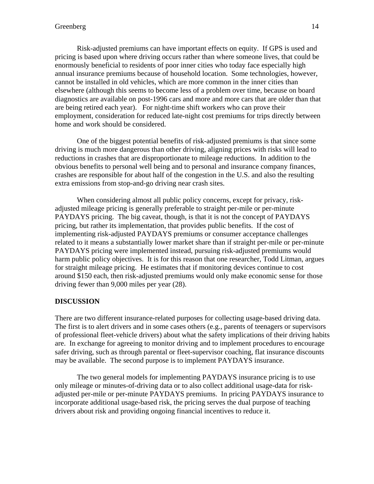Risk-adjusted premiums can have important effects on equity. If GPS is used and pricing is based upon where driving occurs rather than where someone lives, that could be enormously beneficial to residents of poor inner cities who today face especially high annual insurance premiums because of household location. Some technologies, however, cannot be installed in old vehicles, which are more common in the inner cities than elsewhere (although this seems to become less of a problem over time, because on board diagnostics are available on post-1996 cars and more and more cars that are older than that are being retired each year). For night-time shift workers who can prove their employment, consideration for reduced late-night cost premiums for trips directly between home and work should be considered.

 One of the biggest potential benefits of risk-adjusted premiums is that since some driving is much more dangerous than other driving, aligning prices with risks will lead to reductions in crashes that are disproportionate to mileage reductions. In addition to the obvious benefits to personal well being and to personal and insurance company finances, crashes are responsible for about half of the congestion in the U.S. and also the resulting extra emissions from stop-and-go driving near crash sites.

When considering almost all public policy concerns, except for privacy, riskadjusted mileage pricing is generally preferable to straight per-mile or per-minute PAYDAYS pricing. The big caveat, though, is that it is not the concept of PAYDAYS pricing, but rather its implementation, that provides public benefits. If the cost of implementing risk-adjusted PAYDAYS premiums or consumer acceptance challenges related to it means a substantially lower market share than if straight per-mile or per-minute PAYDAYS pricing were implemented instead, pursuing risk-adjusted premiums would harm public policy objectives. It is for this reason that one researcher, Todd Litman, argues for straight mileage pricing. He estimates that if monitoring devices continue to cost around \$150 each, then risk-adjusted premiums would only make economic sense for those driving fewer than 9,000 miles per year (28).

# **DISCUSSION**

There are two different insurance-related purposes for collecting usage-based driving data. The first is to alert drivers and in some cases others (e.g., parents of teenagers or supervisors of professional fleet-vehicle drivers) about what the safety implications of their driving habits are. In exchange for agreeing to monitor driving and to implement procedures to encourage safer driving, such as through parental or fleet-supervisor coaching, flat insurance discounts may be available. The second purpose is to implement PAYDAYS insurance.

The two general models for implementing PAYDAYS insurance pricing is to use only mileage or minutes-of-driving data or to also collect additional usage-data for riskadjusted per-mile or per-minute PAYDAYS premiums. In pricing PAYDAYS insurance to incorporate additional usage-based risk, the pricing serves the dual purpose of teaching drivers about risk and providing ongoing financial incentives to reduce it.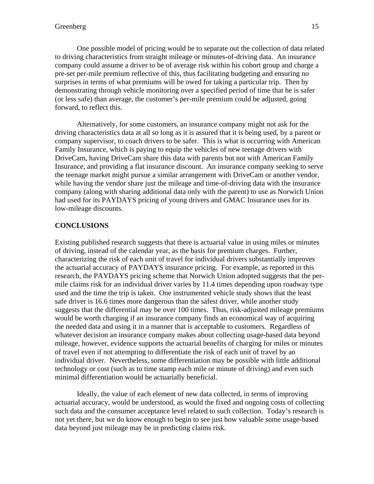One possible model of pricing would be to separate out the collection of data related to driving characteristics from straight mileage or minutes-of-driving data. An insurance company could assume a driver to be of average risk within his cohort group and charge a pre-set per-mile premium reflective of this, thus facilitating budgeting and ensuring no surprises in terms of what premiums will be owed for taking a particular trip. Then by demonstrating through vehicle monitoring over a specified period of time that he is safer (or less safe) than average, the customer's per-mile premium could be adjusted, going forward, to reflect this.

Alternatively, for some customers, an insurance company might not ask for the driving characteristics data at all so long as it is assured that it is being used, by a parent or company supervisor, to coach drivers to be safer. This is what is occurring with American Family Insurance, which is paying to equip the vehicles of new teenage drivers with DriveCam, having DriveCam share this data with parents but not with American Family Insurance, and providing a flat insurance discount. An insurance company seeking to serve the teenage market might pursue a similar arrangement with DriveCam or another vendor, while having the vendor share just the mileage and time-of-driving data with the insurance company (along with sharing additional data only with the parent) to use as Norwich Union had used for its PAYDAYS pricing of young drivers and GMAC Insurance uses for its low-mileage discounts.

# **CONCLUSIONS**

Existing published research suggests that there is actuarial value in using miles or minutes of driving, instead of the calendar year, as the basis for premium charges. Further, characterizing the risk of each unit of travel for individual drivers substantially improves the actuarial accuracy of PAYDAYS insurance pricing. For example, as reported in this research, the PAYDAYS pricing scheme that Norwich Union adopted suggests that the permile claims risk for an individual driver varies by 11.4 times depending upon roadway type used and the time the trip is taken. One instrumented vehicle study shows that the least safe driver is 16.6 times more dangerous than the safest driver, while another study suggests that the differential may be over 100 times. Thus, risk-adjusted mileage premiums would be worth charging if an insurance company finds an economical way of acquiring the needed data and using it in a manner that is acceptable to customers. Regardless of whatever decision an insurance company makes about collecting usage-based data beyond mileage, however, evidence supports the actuarial benefits of charging for miles or minutes of travel even if not attempting to differentiate the risk of each unit of travel by an individual driver. Nevertheless, some differentiation may be possible with little additional technology or cost (such as to time stamp each mile or minute of driving) and even such minimal differentiation would be actuarially beneficial.

 Ideally, the value of each element of new data collected, in terms of improving actuarial accuracy, would be understood, as would the fixed and ongoing costs of collecting such data and the consumer acceptance level related to such collection. Today's research is not yet there, but we do know enough to begin to see just how valuable some usage-based data beyond just mileage may be in predicting claims risk.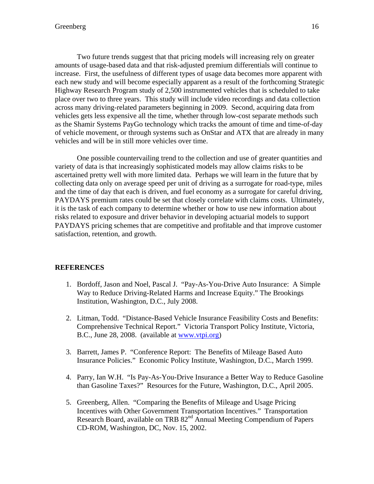Two future trends suggest that that pricing models will increasing rely on greater amounts of usage-based data and that risk-adjusted premium differentials will continue to increase. First, the usefulness of different types of usage data becomes more apparent with each new study and will become especially apparent as a result of the forthcoming Strategic Highway Research Program study of 2,500 instrumented vehicles that is scheduled to take place over two to three years. This study will include video recordings and data collection across many driving-related parameters beginning in 2009. Second, acquiring data from vehicles gets less expensive all the time, whether through low-cost separate methods such as the Shamir Systems PayGo technology which tracks the amount of time and time-of-day of vehicle movement, or through systems such as OnStar and ATX that are already in many vehicles and will be in still more vehicles over time.

 One possible countervailing trend to the collection and use of greater quantities and variety of data is that increasingly sophisticated models may allow claims risks to be ascertained pretty well with more limited data. Perhaps we will learn in the future that by collecting data only on average speed per unit of driving as a surrogate for road-type, miles and the time of day that each is driven, and fuel economy as a surrogate for careful driving, PAYDAYS premium rates could be set that closely correlate with claims costs. Ultimately, it is the task of each company to determine whether or how to use new information about risks related to exposure and driver behavior in developing actuarial models to support PAYDAYS pricing schemes that are competitive and profitable and that improve customer satisfaction, retention, and growth.

# **REFERENCES**

- 1. Bordoff, Jason and Noel, Pascal J. "Pay-As-You-Drive Auto Insurance: A Simple Way to Reduce Driving-Related Harms and Increase Equity." The Brookings Institution, Washington, D.C., July 2008.
- 2. Litman, Todd. "Distance-Based Vehicle Insurance Feasibility Costs and Benefits: Comprehensive Technical Report." Victoria Transport Policy Institute, Victoria, B.C., June 28, 2008. (available at www.vtpi.org)
- 3. Barrett, James P. "Conference Report: The Benefits of Mileage Based Auto Insurance Policies." Economic Policy Institute, Washington, D.C., March 1999.
- 4. Parry, Ian W.H. "Is Pay-As-You-Drive Insurance a Better Way to Reduce Gasoline than Gasoline Taxes?" Resources for the Future, Washington, D.C., April 2005.
- 5. Greenberg, Allen. "Comparing the Benefits of Mileage and Usage Pricing Incentives with Other Government Transportation Incentives." Transportation Research Board, available on TRB 82<sup>nd</sup> Annual Meeting Compendium of Papers CD-ROM, Washington, DC, Nov. 15, 2002.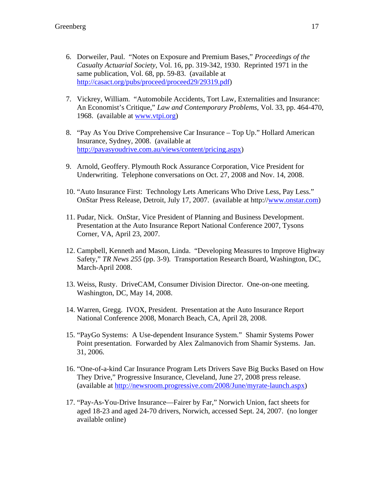- 6. Dorweiler, Paul. "Notes on Exposure and Premium Bases," *Proceedings of the Casualty Actuarial Society*, Vol. 16, pp. 319-342, 1930. Reprinted 1971 in the same publication, Vol. 68, pp. 59-83. (available at http://casact.org/pubs/proceed/proceed29/29319.pdf)
- 7. Vickrey, William. "Automobile Accidents, Tort Law, Externalities and Insurance: An Economist's Critique," *Law and Contemporary Problems*, Vol. 33, pp. 464-470, 1968. (available at www.vtpi.org)
- 8. "Pay As You Drive Comprehensive Car Insurance Top Up." Hollard American Insurance, Sydney, 2008. (available at http://payasyoudrive.com.au/views/content/pricing.aspx)
- 9. Arnold, Geoffery. Plymouth Rock Assurance Corporation, Vice President for Underwriting. Telephone conversations on Oct. 27, 2008 and Nov. 14, 2008.
- 10. "Auto Insurance First: Technology Lets Americans Who Drive Less, Pay Less." OnStar Press Release, Detroit, July 17, 2007. (available at http://www.onstar.com)
- 11. Pudar, Nick. OnStar, Vice President of Planning and Business Development. Presentation at the Auto Insurance Report National Conference 2007, Tysons Corner, VA, April 23, 2007.
- 12. Campbell, Kenneth and Mason, Linda. "Developing Measures to Improve Highway Safety," *TR News 255* (pp. 3-9)*.* Transportation Research Board, Washington, DC, March-April 2008.
- 13. Weiss, Rusty. DriveCAM, Consumer Division Director. One-on-one meeting. Washington, DC, May 14, 2008.
- 14. Warren, Gregg. IVOX, President. Presentation at the Auto Insurance Report National Conference 2008, Monarch Beach, CA, April 28, 2008.
- 15. "PayGo Systems: A Use-dependent Insurance System." Shamir Systems Power Point presentation. Forwarded by Alex Zalmanovich from Shamir Systems. Jan. 31, 2006.
- 16. "One-of-a-kind Car Insurance Program Lets Drivers Save Big Bucks Based on How They Drive," Progressive Insurance, Cleveland, June 27, 2008 press release. (available at http://newsroom.progressive.com/2008/June/myrate-launch.aspx)
- 17. "Pay-As-You-Drive Insurance—Fairer by Far," Norwich Union, fact sheets for aged 18-23 and aged 24-70 drivers, Norwich, accessed Sept. 24, 2007. (no longer available online)